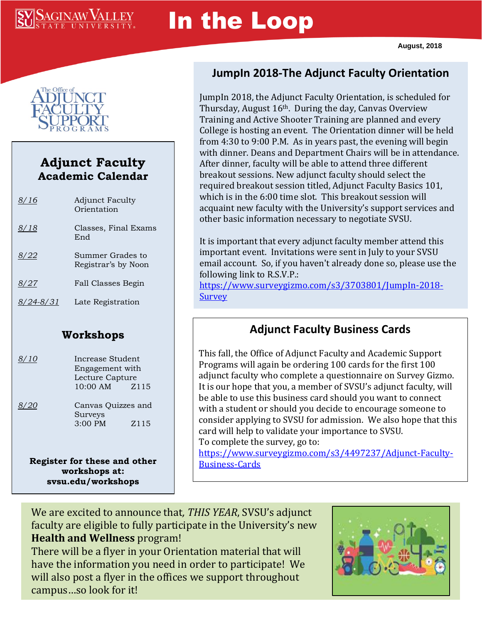# $\overline{\text{SAGINAW}}$

# In the Loop



# **Adjunct Faculty Academic Calendar**

| 8/16    | Adjunct Faculty<br>Orientation          |
|---------|-----------------------------------------|
| 8/18    | Classes, Final Exams<br>End             |
| 8/22    | Summer Grades to<br>Registrar's by Noon |
| 8/27    | Fall Classes Begin                      |
| ?4-8731 | Late Registration                       |

#### **Workshops**

*8/10* Increase Student Engagement with Lecture Capture 10:00 AM Z115 *8/20* Canvas Quizzes and Surveys 3:00 PM Z115 **Register for these and other workshops at:** 

**svsu.edu/workshops**

# **JumpIn 2018-The Adjunct Faculty Orientation**

JumpIn 2018, the Adjunct Faculty Orientation, is scheduled for Thursday, August  $16<sup>th</sup>$ . During the day, Canvas Overview Training and Active Shooter Training are planned and every College is hosting an event. The Orientation dinner will be held from 4:30 to 9:00 P.M. As in years past, the evening will begin with dinner. Deans and Department Chairs will be in attendance. After dinner, faculty will be able to attend three different breakout sessions. New adjunct faculty should select the required breakout session titled, Adjunct Faculty Basics 101, which is in the 6:00 time slot. This breakout session will acquaint new faculty with the University's support services and other basic information necessary to negotiate SVSU.

It is important that every adjunct faculty member attend this important event. Invitations were sent in July to your SVSU email account. So, if you haven't already done so, please use the following link to R.S.V.P.:

[https://www.surveygizmo.com/s3/3703801/JumpIn-2018-](https://www.surveygizmo.com/s3/3703801/JumpIn-2018-Survey) **[Survey](https://www.surveygizmo.com/s3/3703801/JumpIn-2018-Survey)** 

# **Adjunct Faculty Business Cards**

This fall, the Office of Adjunct Faculty and Academic Support Programs will again be ordering 100 cards for the first 100 adjunct faculty who complete a questionnaire on Survey Gizmo. It is our hope that you, a member of SVSU's adjunct faculty, will be able to use this business card should you want to connect with a student or should you decide to encourage someone to consider applying to SVSU for admission. We also hope that this card will help to validate your importance to SVSU. To complete the survey, go to:

[https://www.surveygizmo.com/s3/4497237/Adjunct-Faculty-](https://www.surveygizmo.com/s3/4497237/Adjunct-Faculty-Business-Cards)[Business-Cards](https://www.surveygizmo.com/s3/4497237/Adjunct-Faculty-Business-Cards)

We are excited to announce that*, THIS YEAR*, SVSU's adjunct faculty are eligible to fully participate in the University's new **Health and Wellness** program!

There will be a flyer in your Orientation material that will have the information you need in order to participate! We will also post a flyer in the offices we support throughout campus…so look for it!

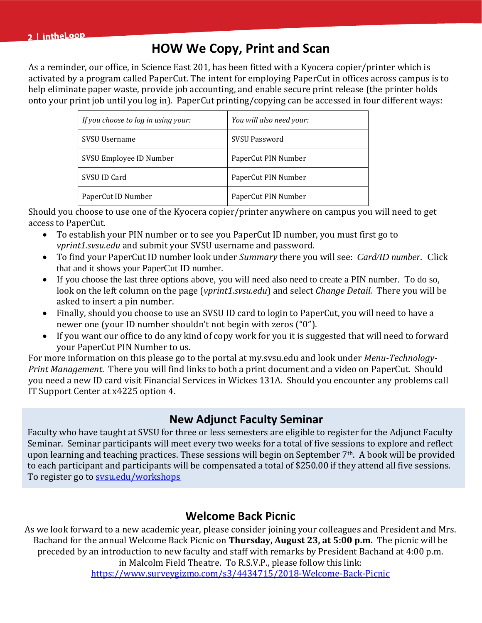# **HOW We Copy, Print and Scan**

As a reminder, our office, in Science East 201, has been fitted with a Kyocera copier/printer which is activated by a program called PaperCut. The intent for employing PaperCut in offices across campus is to help eliminate paper waste, provide job accounting, and enable secure print release (the printer holds onto your print job until you log in). PaperCut printing/copying can be accessed in four different ways:

| If you choose to log in using your: | You will also need your: |
|-------------------------------------|--------------------------|
| SVSU Username                       | <b>SVSU Password</b>     |
| SVSU Employee ID Number             | PaperCut PIN Number      |
| SVSU ID Card                        | PaperCut PIN Number      |
| PaperCut ID Number                  | PaperCut PIN Number      |

Should you choose to use one of the Kyocera copier/printer anywhere on campus you will need to get access to PaperCut.

- To establish your PIN number or to see you PaperCut ID number, you must first go to *vprint1.svsu.edu* and submit your SVSU username and password.
- To find your PaperCut ID number look under *Summary* there you will see: *Card/ID number.* Click that and it shows your PaperCut ID number.
- If you choose the last three options above, you will need also need to create a PIN number. To do so, look on the left column on the page (*vprint1.svsu.edu*) and select *Change Detail.* There you will be asked to insert a pin number.
- Finally, should you choose to use an SVSU ID card to login to PaperCut, you will need to have a newer one (your ID number shouldn't not begin with zeros ("0").
- If you want our office to do any kind of copy work for you it is suggested that will need to forward your PaperCut PIN Number to us.

For more information on this please go to the portal at my.svsu.edu and look under *Menu-Technology-Print Management*. There you will find links to both a print document and a video on PaperCut. Should you need a new ID card visit Financial Services in Wickes 131A. Should you encounter any problems call IT Support Center at x4225 option 4.

### **New Adjunct Faculty Seminar**

Faculty who have taught at SVSU for three or less semesters are eligible to register for the Adjunct Faculty Seminar. Seminar participants will meet every two weeks for a total of five sessions to explore and reflect upon learning and teaching practices. These sessions will begin on September 7<sup>th</sup>. A book will be provided to each participant and participants will be compensated a total of \$250.00 if they attend all five sessions. To register go to sysu.edu/workshops

### **Welcome Back Picnic**

As we look forward to a new academic year, please consider joining your colleagues and President and Mrs. Bachand for the annual Welcome Back Picnic on **Thursday, August 23, at 5:00 p.m.** The picnic will be preceded by an introduction to new faculty and staff with remarks by President Bachand at 4:00 p.m. in Malcolm Field Theatre. To R.S.V.P., please follow this link: <https://www.surveygizmo.com/s3/4434715/2018-Welcome-Back-Picnic>